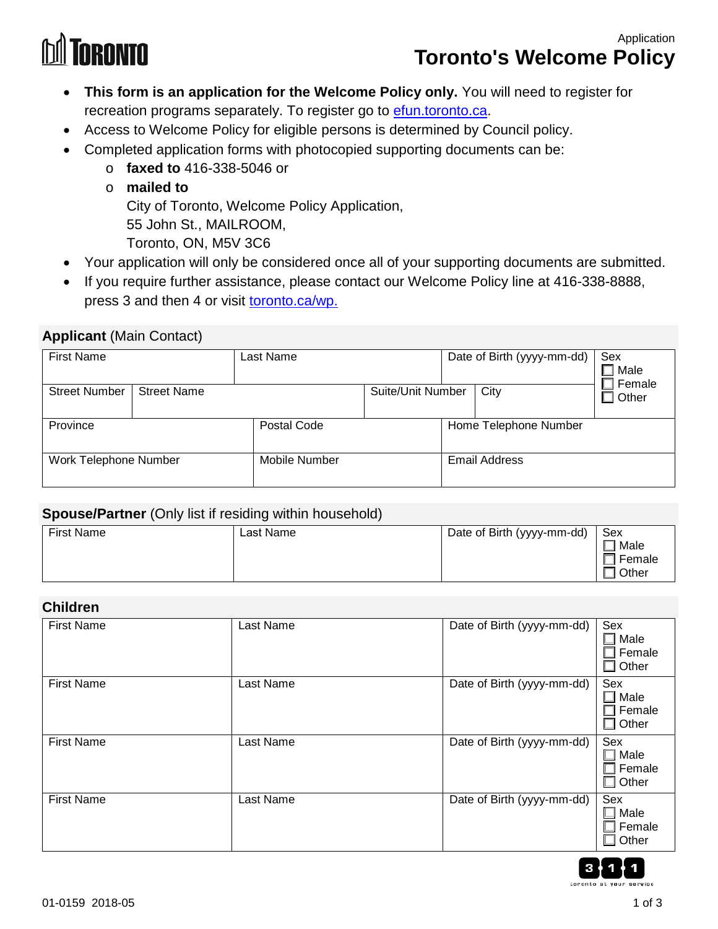# **TORONTO**

## Application **Toronto's Welcome Policy**

- **This form is an application for the Welcome Policy only.** You will need to register for recreation programs separately. To register go to efun.toronto.ca.
- Access to Welcome Policy for eligible persons is determined by Council policy.
	- Completed application forms with photocopied supporting documents can be:
		- o **faxed to** 416-338-5046 or
		- o **mailed to**

City of Toronto, Welcome Policy Application,

55 John St., MAILROOM,

Toronto, ON, M5V 3C6

- Your application will only be considered once all of your supporting documents are submitted.
- If you require further assistance, please contact our Welcome Policy line at 416-338-8888, press 3 and then 4 or visit toronto.ca/wp.

#### **Applicant** (Main Contact)

| <b>First Name</b>     |                    | Last Name            |                   | Date of Birth (yyyy-mm-dd) | Sex<br>Male<br>Female |
|-----------------------|--------------------|----------------------|-------------------|----------------------------|-----------------------|
| <b>Street Number</b>  | <b>Street Name</b> |                      | Suite/Unit Number | City                       | Other                 |
| Province              |                    | Postal Code          |                   | Home Telephone Number      |                       |
| Work Telephone Number |                    | <b>Mobile Number</b> |                   | <b>Email Address</b>       |                       |

#### **Spouse/Partner** (Only list if residing within household)

| <b>First Name</b> | Last Name | Date of Birth (yyyy-mm-dd) | Sex    |
|-------------------|-----------|----------------------------|--------|
|                   |           |                            | Male   |
|                   |           |                            | Female |
|                   |           |                            | Other  |

#### **Children**

| <b>First Name</b> | Last Name | Date of Birth (yyyy-mm-dd) | Sex<br>Male<br>Female<br>Other                      |
|-------------------|-----------|----------------------------|-----------------------------------------------------|
| <b>First Name</b> | Last Name | Date of Birth (yyyy-mm-dd) | Sex<br>Male<br>Female<br>Other                      |
| <b>First Name</b> | Last Name | Date of Birth (yyyy-mm-dd) | Sex<br>$\Box$ Male<br>$\Box$ Female<br>$\Box$ Other |
| <b>First Name</b> | Last Name | Date of Birth (yyyy-mm-dd) | Sex<br>$\Box$ Male<br>Female<br>$\Box$ Other        |

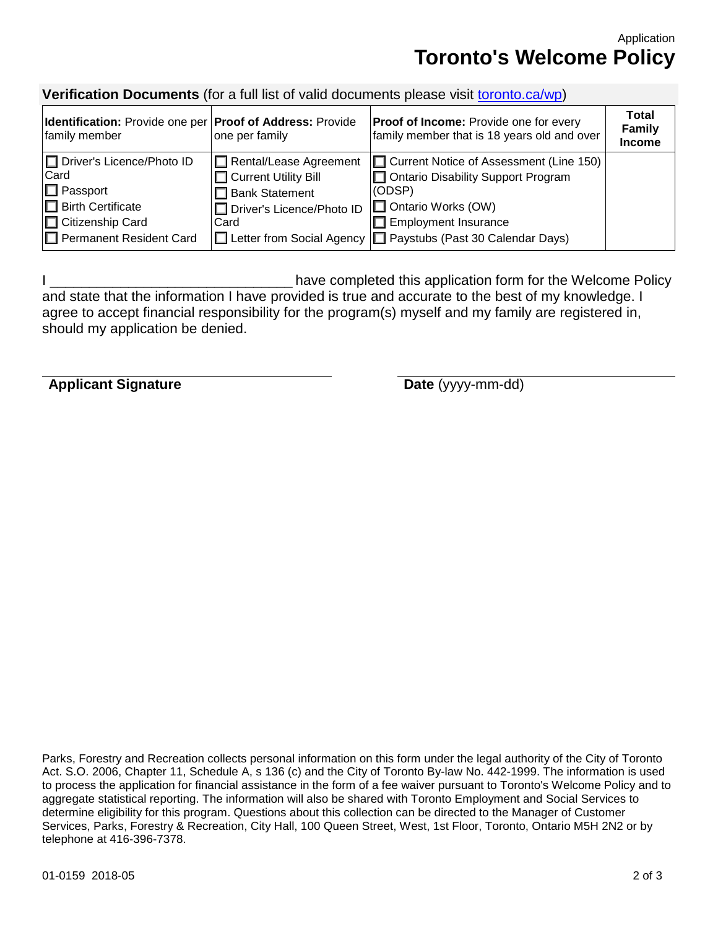Application **Toronto's Welcome Policy**

## **Verification Documents** (for a full list of valid documents please visit [toronto.ca/wp\)](http://www.toronto.ca/wp)

| Identification: Provide one per   Proof of Address: Provide<br>family member                                                                              | one per family                                                                                                   | <b>Proof of Income:</b> Provide one for every<br>family member that is 18 years old and over                                                                                                                         | Total<br>Family<br><b>Income</b> |
|-----------------------------------------------------------------------------------------------------------------------------------------------------------|------------------------------------------------------------------------------------------------------------------|----------------------------------------------------------------------------------------------------------------------------------------------------------------------------------------------------------------------|----------------------------------|
| □ Driver's Licence/Photo ID<br>Card<br>$\Box$ Passport<br><b>Birth Certificate</b><br>I <sup>□</sup> Citizenship Card<br><b>□</b> Permanent Resident Card | □ Rental/Lease Agreement<br>Current Utility Bill<br>$\Box$ Bank Statement<br>□ Driver's Licence/Photo ID<br>Card | □ Current Notice of Assessment (Line 150)<br>Ontario Disability Support Program<br>(ODSP)<br>□ Ontario Works (OW)<br>$\Box$ Employment Insurance<br> □ Letter from Social Agency  □ Paystubs (Past 30 Calendar Days) |                                  |

I completed this application form for the Welcome Policy and state that the information I have provided is true and accurate to the best of my knowledge. I agree to accept financial responsibility for the program(s) myself and my family are registered in, should my application be denied.

**Applicant Signature Date** (yyyy-mm-dd)

Parks, Forestry and Recreation collects personal information on this form under the legal authority of the City of Toronto Act. S.O. 2006, Chapter 11, Schedule A, s 136 (c) and the City of Toronto By-law No. 442-1999. The information is used to process the application for financial assistance in the form of a fee waiver pursuant to Toronto's Welcome Policy and to aggregate statistical reporting. The information will also be shared with Toronto Employment and Social Services to determine eligibility for this program. Questions about this collection can be directed to the Manager of Customer Services, Parks, Forestry & Recreation, City Hall, 100 Queen Street, West, 1st Floor, Toronto, Ontario M5H 2N2 or by telephone at 416-396-7378.